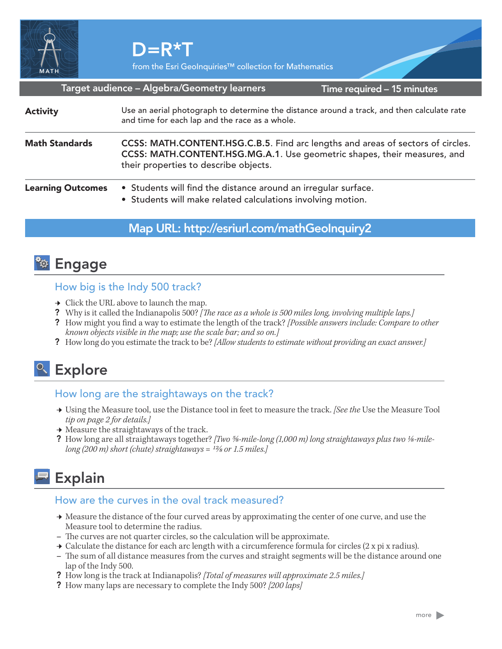

from the Esri GeoInquiries™ collection for Mathematics

Target audience – Algebra/Geometry learners

Time required – 15 minutes

| <b>Activity</b>          | Use an aerial photograph to determine the distance around a track, and then calculate rate<br>and time for each lap and the race as a whole.                                                         |
|--------------------------|------------------------------------------------------------------------------------------------------------------------------------------------------------------------------------------------------|
| <b>Math Standards</b>    | CCSS: MATH.CONTENT.HSG.C.B.5. Find arc lengths and areas of sectors of circles.<br>CCSS: MATH.CONTENT.HSG.MG.A.1. Use geometric shapes, their measures, and<br>their properties to describe objects. |
| <b>Learning Outcomes</b> | • Students will find the distance around an irregular surface.<br>• Students will make related calculations involving motion.                                                                        |

## Map URL: http://esriurl.com/mathGeoInquiry2

# <sup>२०</sup> Engage

## How big is the Indy 500 track?

- $\rightarrow$  Click the URL above to launch the map.
- ? Why is it called the Indianapolis 500? *[The race as a whole is 500 miles long, involving multiple laps.]*
- ? How might you find a way to estimate the length of the track? *[Possible answers include: Compare to other known objects visible in the map; use the scale bar; and so on.]*
- ? How long do you estimate the track to be? *[Allow students to estimate without providing an exact answer.]*

# <sup>o</sup> Explore

## How long are the straightaways on the track?

- ʅ Using the Measure tool, use the Distance tool in feet to measure the track. *[See the* Use the Measure Tool *tip on page 2 for details.]*
- $\rightarrow$  Measure the straightaways of the track.
- ? How long are all straightaways together? *[Two %-mile-long (1,000 m) long straightaways plus two 1/8-milelong (200 m) short (chute) straightaways = 12/8 or 1.5 miles.]*

# **Explain**

#### How are the curves in the oval track measured?

- → Measure the distance of the four curved areas by approximating the center of one curve, and use the Measure tool to determine the radius.
- **–** The curves are not quarter circles, so the calculation will be approximate.
- $\rightarrow$  Calculate the distance for each arc length with a circumference formula for circles (2 x pi x radius).
- **–** The sum of all distance measures from the curves and straight segments will be the distance around one lap of the Indy 500.
- ? How long is the track at Indianapolis? *[Total of measures will approximate 2.5 miles.]*
- ? How many laps are necessary to complete the Indy 500? *[200 laps]*